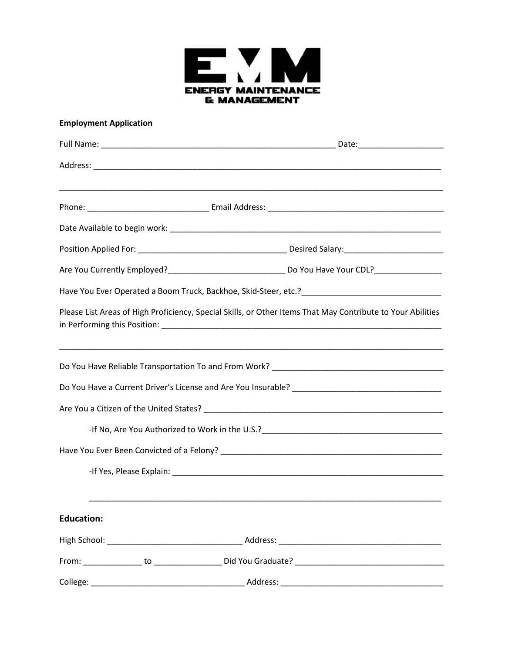

## **Employment Application**

| Please List Areas of High Proficiency, Special Skills, or Other Items That May Contribute to Your Abilities |  |  |  |  |
|-------------------------------------------------------------------------------------------------------------|--|--|--|--|
|                                                                                                             |  |  |  |  |
|                                                                                                             |  |  |  |  |
|                                                                                                             |  |  |  |  |
|                                                                                                             |  |  |  |  |
|                                                                                                             |  |  |  |  |
| <b>Education:</b>                                                                                           |  |  |  |  |
|                                                                                                             |  |  |  |  |
|                                                                                                             |  |  |  |  |
|                                                                                                             |  |  |  |  |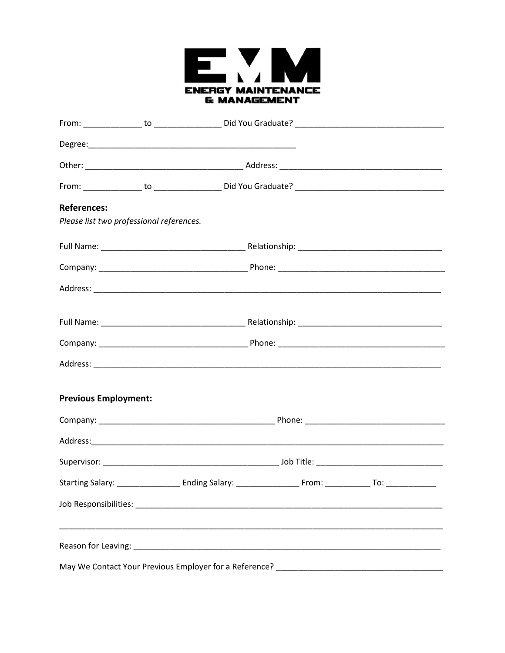

| <b>References:</b>                       |  |  |  |
|------------------------------------------|--|--|--|
| Please list two professional references. |  |  |  |
|                                          |  |  |  |
|                                          |  |  |  |
|                                          |  |  |  |
|                                          |  |  |  |
|                                          |  |  |  |
|                                          |  |  |  |
| <b>Previous Employment:</b>              |  |  |  |
|                                          |  |  |  |
|                                          |  |  |  |
|                                          |  |  |  |
|                                          |  |  |  |
|                                          |  |  |  |
|                                          |  |  |  |
|                                          |  |  |  |